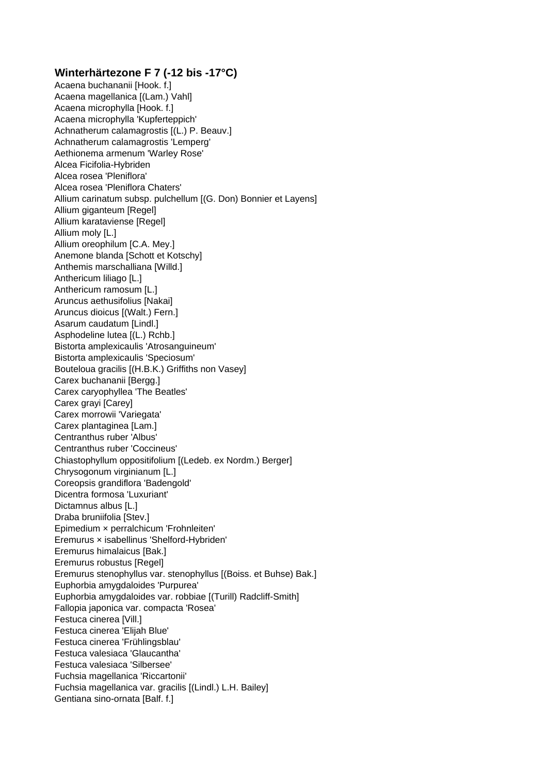## **Winterhärtezone F 7 (-12 bis -17°C)**

Acaena buchananii [Hook. f.] Acaena magellanica [(Lam.) Vahl] Acaena microphylla [Hook. f.] Acaena microphylla 'Kupferteppich' Achnatherum calamagrostis [(L.) P. Beauv.] Achnatherum calamagrostis 'Lemperg' Aethionema armenum 'Warley Rose' Alcea Ficifolia-Hybriden Alcea rosea 'Pleniflora' Alcea rosea 'Pleniflora Chaters' Allium carinatum subsp. pulchellum [(G. Don) Bonnier et Layens] Allium giganteum [Regel] Allium karataviense [Regel] Allium moly [L.] Allium oreophilum [C.A. Mey.] Anemone blanda [Schott et Kotschy] Anthemis marschalliana [Willd.] Anthericum liliago [L.] Anthericum ramosum [L.] Aruncus aethusifolius [Nakai] Aruncus dioicus [(Walt.) Fern.] Asarum caudatum [Lindl.] Asphodeline lutea [(L.) Rchb.] Bistorta amplexicaulis 'Atrosanguineum' Bistorta amplexicaulis 'Speciosum' Bouteloua gracilis [(H.B.K.) Griffiths non Vasey] Carex buchananii [Bergg.] Carex caryophyllea 'The Beatles' Carex grayi [Carey] Carex morrowii 'Variegata' Carex plantaginea [Lam.] Centranthus ruber 'Albus' Centranthus ruber 'Coccineus' Chiastophyllum oppositifolium [(Ledeb. ex Nordm.) Berger] Chrysogonum virginianum [L.] Coreopsis grandiflora 'Badengold' Dicentra formosa 'Luxuriant' Dictamnus albus [L.] Draba bruniifolia [Stev.] Epimedium × perralchicum 'Frohnleiten' Eremurus × isabellinus 'Shelford-Hybriden' Eremurus himalaicus [Bak.] Eremurus robustus [Regel] Eremurus stenophyllus var. stenophyllus [(Boiss. et Buhse) Bak.] Euphorbia amygdaloides 'Purpurea' Euphorbia amygdaloides var. robbiae [(Turill) Radcliff-Smith] Fallopia japonica var. compacta 'Rosea' Festuca cinerea [Vill.] Festuca cinerea 'Elijah Blue' Festuca cinerea 'Frühlingsblau' Festuca valesiaca 'Glaucantha' Festuca valesiaca 'Silbersee' Fuchsia magellanica 'Riccartonii' Fuchsia magellanica var. gracilis [(Lindl.) L.H. Bailey] Gentiana sino-ornata [Balf. f.]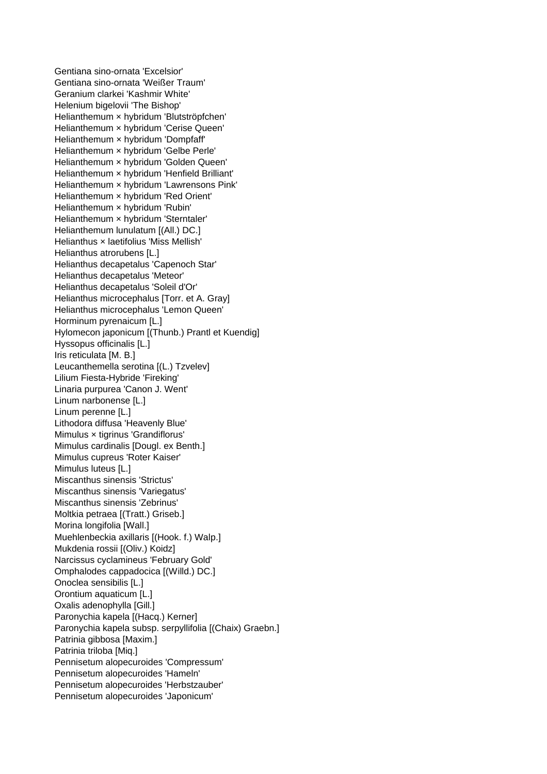Gentiana sino-ornata 'Excelsior' Gentiana sino-ornata 'Weißer Traum' Geranium clarkei 'Kashmir White' Helenium bigelovii 'The Bishop' Helianthemum × hybridum 'Blutströpfchen' Helianthemum × hybridum 'Cerise Queen' Helianthemum × hybridum 'Dompfaff' Helianthemum × hybridum 'Gelbe Perle' Helianthemum × hybridum 'Golden Queen' Helianthemum × hybridum 'Henfield Brilliant' Helianthemum × hybridum 'Lawrensons Pink' Helianthemum × hybridum 'Red Orient' Helianthemum × hybridum 'Rubin' Helianthemum × hybridum 'Sterntaler' Helianthemum lunulatum [(All.) DC.] Helianthus × laetifolius 'Miss Mellish' Helianthus atrorubens [L.] Helianthus decapetalus 'Capenoch Star' Helianthus decapetalus 'Meteor' Helianthus decapetalus 'Soleil d'Or' Helianthus microcephalus [Torr. et A. Gray] Helianthus microcephalus 'Lemon Queen' Horminum pyrenaicum [L.] Hylomecon japonicum [(Thunb.) Prantl et Kuendig] Hyssopus officinalis [L.] Iris reticulata [M. B.] Leucanthemella serotina [(L.) Tzvelev] Lilium Fiesta-Hybride 'Fireking' Linaria purpurea 'Canon J. Went' Linum narbonense [L.] Linum perenne [L.] Lithodora diffusa 'Heavenly Blue' Mimulus × tigrinus 'Grandiflorus' Mimulus cardinalis [Dougl. ex Benth.] Mimulus cupreus 'Roter Kaiser' Mimulus luteus [L.] Miscanthus sinensis 'Strictus' Miscanthus sinensis 'Variegatus' Miscanthus sinensis 'Zebrinus' Moltkia petraea [(Tratt.) Griseb.] Morina longifolia [Wall.] Muehlenbeckia axillaris [(Hook. f.) Walp.] Mukdenia rossii [(Oliv.) Koidz] Narcissus cyclamineus 'February Gold' Omphalodes cappadocica [(Willd.) DC.] Onoclea sensibilis [L.] Orontium aquaticum [L.] Oxalis adenophylla [Gill.] Paronychia kapela [(Hacq.) Kerner] Paronychia kapela subsp. serpyllifolia [(Chaix) Graebn.] Patrinia gibbosa [Maxim.] Patrinia triloba [Miq.] Pennisetum alopecuroides 'Compressum' Pennisetum alopecuroides 'Hameln' Pennisetum alopecuroides 'Herbstzauber' Pennisetum alopecuroides 'Japonicum'